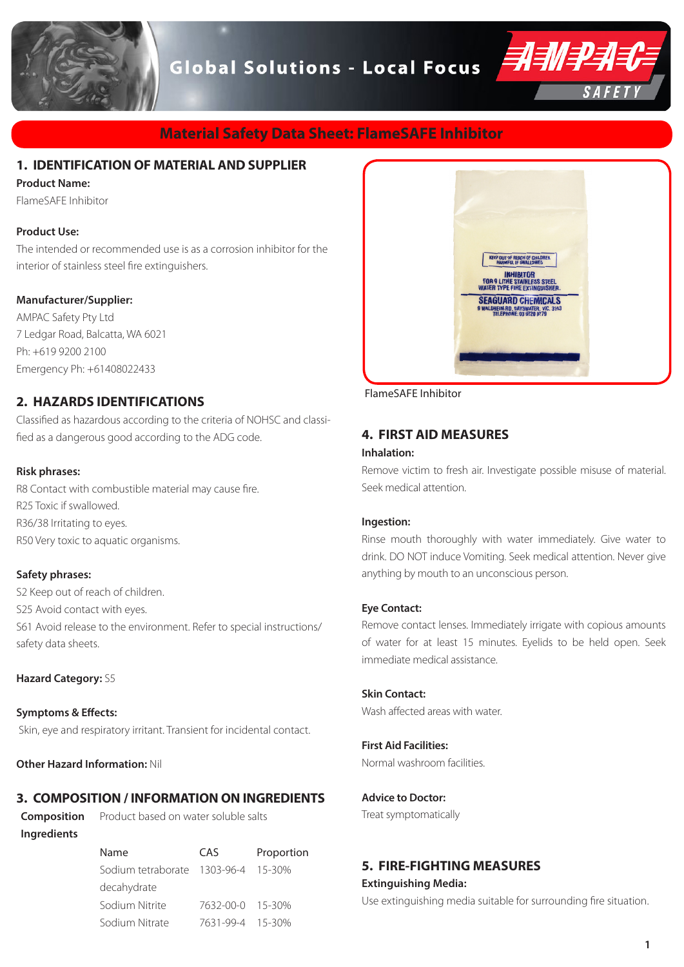

## **Material Safety Data Sheet: FlameSAFE Inhibitor**

## **1. IDENTIFICATION OF MATERIAL AND SUPPLIER**

#### **Product Name:**

FlameSAFE Inhibitor

#### **Product Use:**

The intended or recommended use is as a corrosion inhibitor for the interior of stainless steel fire extinguishers.

#### **Manufacturer/Supplier:**

AMPAC Safety Pty Ltd 7 Ledgar Road, Balcatta, WA 6021 Ph: +619 9200 2100 Emergency Ph: +61408022433

## **2. HAZARDS IDENTIFICATIONS**

Classified as hazardous according to the criteria of NOHSC and classified as a dangerous good according to the ADG code.

#### **Risk phrases:**

R8 Contact with combustible material may cause fire. R25 Toxic if swallowed. R36/38 Irritating to eyes. R50 Very toxic to aquatic organisms.

#### **Safety phrases:**

S2 Keep out of reach of children. S25 Avoid contact with eyes. S61 Avoid release to the environment. Refer to special instructions/ safety data sheets.

#### **Hazard Category:** S5

**Symptoms & Effects:** Skin, eye and respiratory irritant. Transient for incidental contact.

**Other Hazard Information:** Nil

## **3. COMPOSITION / INFORMATION ON INGREDIENTS**

**Composition Ingredients**

Product based on water soluble salts

| Name                                        | CAS              | Proportion |
|---------------------------------------------|------------------|------------|
| Sodium tetraborate     1303-96-4     15-30% |                  |            |
| decahydrate                                 |                  |            |
| Sodium Nitrite                              | 7632-00-0 15-30% |            |
| Sodium Nitrate                              | 7631-99-4 15-30% |            |



FlameSAFE Inhibitor

## **4. FIRST AID MEASURES**

#### **Inhalation:**

Remove victim to fresh air. Investigate possible misuse of material. Seek medical attention.

#### **Ingestion:**

Rinse mouth thoroughly with water immediately. Give water to drink. DO NOT induce Vomiting. Seek medical attention. Never give anything by mouth to an unconscious person.

#### **Eye Contact:**

Remove contact lenses. Immediately irrigate with copious amounts of water for at least 15 minutes. Eyelids to be held open. Seek immediate medical assistance.

#### **Skin Contact:**

Wash affected areas with water.

### **First Aid Facilities:**

Normal washroom facilities.

**Advice to Doctor:** 

Treat symptomatically

## **5. FIRE-FIGHTING MEASURES**

**Extinguishing Media:**

Use extinguishing media suitable for surrounding fire situation.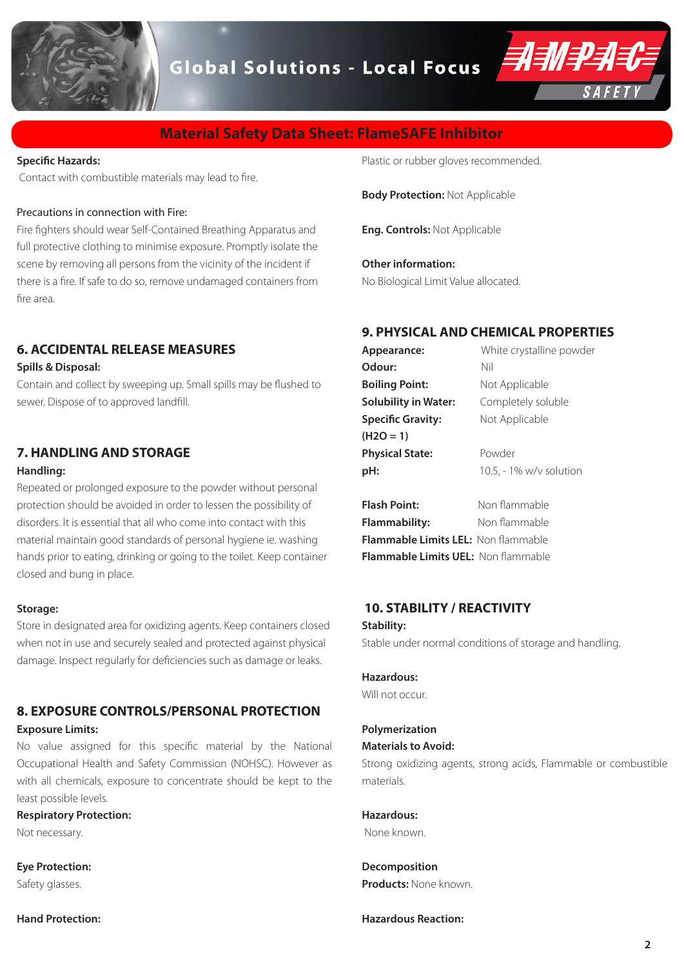

## **Material Safety Data Sheet: FlameSAFE Inhibitor**

#### **Specific Hazards:**

Contact with combustible materials may lead to fire.

#### Precautions in connection with Fire:

Fire fighters should wear Self-Contained Breathing Apparatus and full protective clothing to minimise exposure. Promptly isolate the scene by removing all persons from the vicinity of the incident if there is a fire. If safe to do so, remove undamaged containers from fire area.

## **6. ACCIDENTAL RELEASE MEASURES**

#### **Spills & Disposal:**

Contain and collect by sweeping up. Small spills may be flushed to sewer. Dispose of to approved landfill.

## **7. HANDLING AND STORAGE**

#### **Handling:**

Repeated or prolonged exposure to the powder without personal protection should be avoided in order to lessen the possibility of disorders. It is essential that all who come into contact with this material maintain good standards of personal hygiene ie. washing hands prior to eating, drinking or going to the toilet. Keep container closed and bung in place.

#### **Storage:**

Store in designated area for oxidizing agents. Keep containers closed when not in use and securely sealed and protected against physical damage. Inspect regularly for deficiencies such as damage or leaks.

## **8. EXPOSURE CONTROLS/PERSONAL PROTECTION**

### **Exposure Limits:**

No value assigned for this specific material by the National Occupational Health and Safety Commission (NOHSC). However as with all chemicals, exposure to concentrate should be kept to the least possible levels.

### **Respiratory Protection:**

Not necessary.

**Eye Protection:**  Safety glasses.

**Hand Protection:** 

Plastic or rubber gloves recommended.

**Body Protection:** Not Applicable

**Eng. Controls:** Not Applicable

**Other information:**  No Biological Limit Value allocated.

## **9. PHYSICAL AND CHEMICAL PROPERTIES**

| Appearance:                 | White crystalline powder |  |
|-----------------------------|--------------------------|--|
| Odour:                      | Nil                      |  |
| <b>Boiling Point:</b>       | Not Applicable           |  |
| <b>Solubility in Water:</b> | Completely soluble       |  |
| <b>Specific Gravity:</b>    | Not Applicable           |  |
| $(H2O = 1)$                 |                          |  |
| <b>Physical State:</b>      | Powder                   |  |
| pH:                         | 10.5, - 1% w/v solution  |  |
|                             |                          |  |

**Flash Point:** Non flammable **Flammability:** Non flammable **Flammable Limits LEL:** Non flammable **Flammable Limits UEL:** Non flammable

#### **10. STABILITY / REACTIVITY**

#### **Stability:**

Stable under normal conditions of storage and handling.

#### **Hazardous:**

Will not occur.

## **Polymerization**

### **Materials to Avoid:**

Strong oxidizing agents, strong acids, Flammable or combustible materials.

**Hazardous:** None known.

**Decomposition Products:** None known.

## **Hazardous Reaction:**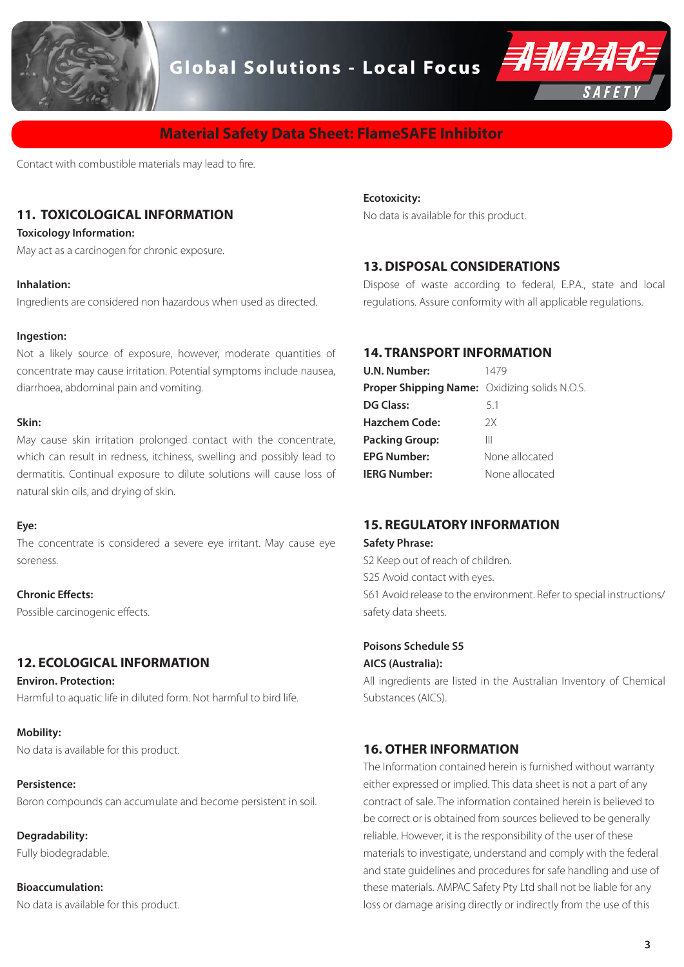



## **Material Safety Data Sheet: FlameSAFE Inhibitor**

Contact with combustible materials may lead to fire.

## **11. TOXICOLOGICAL INFORMATION**

#### **Toxicology Information:**

May act as a carcinogen for chronic exposure.

#### **Inhalation:**

Ingredients are considered non hazardous when used as directed.

#### **Ingestion:**

Not a likely source of exposure, however, moderate quantities of concentrate may cause irritation. Potential symptoms include nausea, diarrhoea, abdominal pain and vomiting.

#### **Skin:**

May cause skin irritation prolonged contact with the concentrate, which can result in redness, itchiness, swelling and possibly lead to dermatitis. Continual exposure to dilute solutions will cause loss of natural skin oils, and drying of skin.

#### **Eye:**

The concentrate is considered a severe eye irritant. May cause eye soreness.

#### **Chronic Effects:**

Possible carcinogenic effects.

## **12. ECOLOGICAL INFORMATION**

**Environ. Protection:** Harmful to aquatic life in diluted form. Not harmful to bird life.

#### **Mobility:**

No data is available for this product.

#### **Persistence:**

Boron compounds can accumulate and become persistent in soil.

**Degradability:**  Fully biodegradable.

## **Bioaccumulation:**

No data is available for this product.

#### **Ecotoxicity:**

No data is available for this product.

### **13. DISPOSAL CONSIDERATIONS**

Dispose of waste according to federal, E.P.A., state and local regulations. Assure conformity with all applicable regulations.

## **14. TRANSPORT INFORMATION**

| U.N. Number:                                         | 1479           |
|------------------------------------------------------|----------------|
| <b>Proper Shipping Name:</b> Oxidizing solids N.O.S. |                |
| <b>DG Class:</b>                                     | 5.1            |
| <b>Hazchem Code:</b>                                 | 2X             |
| <b>Packing Group:</b>                                | Ш              |
| <b>EPG Number:</b>                                   | None allocated |
| <b>IERG Number:</b>                                  | None allocated |

## **15. REGULATORY INFORMATION**

#### **Safety Phrase:**

S2 Keep out of reach of children. S25 Avoid contact with eyes. S61 Avoid release to the environment. Refer to special instructions/ safety data sheets.

#### **Poisons Schedule S5**

#### **AICS (Australia):**

All ingredients are listed in the Australian Inventory of Chemical Substances (AICS).

### **16. OTHER INFORMATION**

The Information contained herein is furnished without warranty either expressed or implied. This data sheet is not a part of any contract of sale. The information contained herein is believed to be correct or is obtained from sources believed to be generally reliable. However, it is the responsibility of the user of these materials to investigate, understand and comply with the federal and state guidelines and procedures for safe handling and use of these materials. AMPAC Safety Pty Ltd shall not be liable for any loss or damage arising directly or indirectly from the use of this